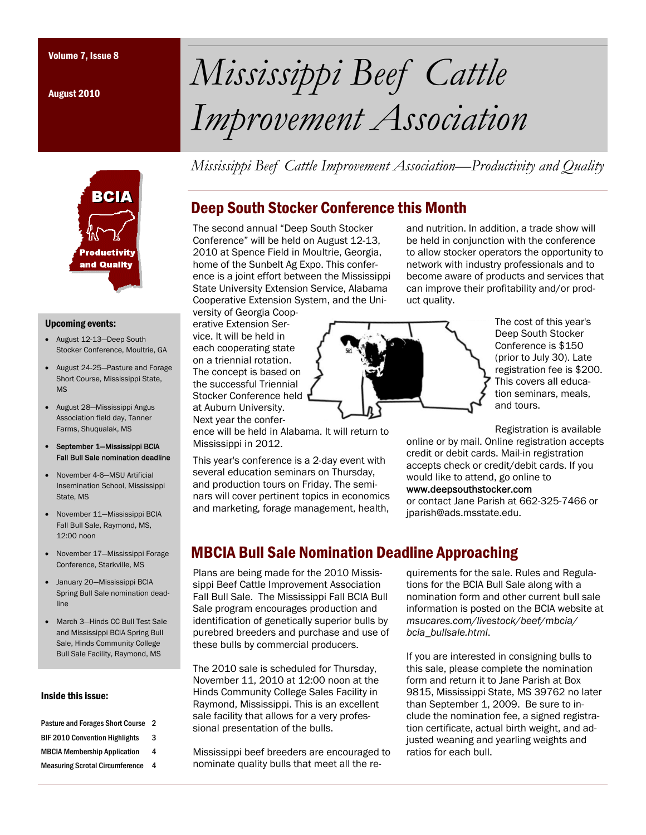August 2010



## Upcoming events:

- August 12-13—Deep South Stocker Conference, Moultrie, GA
- August 24-25—Pasture and Forage Short Course, Mississippi State, MS
- August 28—Mississippi Angus Association field day, Tanner Farms, Shuqualak, MS
- September 1—Mississippi BCIA Fall Bull Sale nomination deadline
- November 4-6—MSU Artificial Insemination School, Mississippi State, MS
- November 11—Mississippi BCIA Fall Bull Sale, Raymond, MS, 12:00 noon
- November 17—Mississippi Forage Conference, Starkville, MS
- January 20—Mississippi BCIA Spring Bull Sale nomination deadline
- March 3—Hinds CC Bull Test Sale and Mississippi BCIA Spring Bull Sale, Hinds Community College Bull Sale Facility, Raymond, MS

## Inside this issue:

| <b>Pasture and Forages Short Course</b> | 2 |
|-----------------------------------------|---|
| <b>BIF 2010 Convention Highlights</b>   | 3 |
| <b>MBCIA Membership Application</b>     |   |
| <b>Measuring Scrotal Circumference</b>  |   |

# Volume 7, Issue 8 *Mississippi Beef Cattle Improvement Association*

*Mississippi Beef Cattle Improvement Association—Productivity and Quality* 

# Deep South Stocker Conference this Month

The second annual "Deep South Stocker Conference" will be held on August 12-13, 2010 at Spence Field in Moultrie, Georgia, home of the Sunbelt Ag Expo. This conference is a joint effort between the Mississippi State University Extension Service, Alabama Cooperative Extension System, and the Uni-

versity of Georgia Cooperative Extension Service. It will be held in each cooperating state on a triennial rotation. The concept is based on the successful Triennial Stocker Conference held at Auburn University. Next year the confer-

ence will be held in Alabama. It will return to Mississippi in 2012.

This year's conference is a 2-day event with several education seminars on Thursday, and production tours on Friday. The seminars will cover pertinent topics in economics and marketing, forage management, health,

and nutrition. In addition, a trade show will be held in conjunction with the conference to allow stocker operators the opportunity to network with industry professionals and to become aware of products and services that can improve their profitability and/or product quality.



The cost of this year's Deep South Stocker Conference is \$150 (prior to July 30). Late registration fee is \$200. This covers all education seminars, meals, and tours.

Registration is available

online or by mail. Online registration accepts credit or debit cards. Mail-in registration accepts check or credit/debit cards. If you would like to attend, go online to www.deepsouthstocker.com

or contact Jane Parish at 662-325-7466 or jparish@ads.msstate.edu.

# MBCIA Bull Sale Nomination Deadline Approaching

Plans are being made for the 2010 Mississippi Beef Cattle Improvement Association Fall Bull Sale. The Mississippi Fall BCIA Bull Sale program encourages production and identification of genetically superior bulls by purebred breeders and purchase and use of these bulls by commercial producers.

The 2010 sale is scheduled for Thursday, November 11, 2010 at 12:00 noon at the Hinds Community College Sales Facility in Raymond, Mississippi. This is an excellent sale facility that allows for a very professional presentation of the bulls.

Mississippi beef breeders are encouraged to nominate quality bulls that meet all the re-

quirements for the sale. Rules and Regulations for the BCIA Bull Sale along with a nomination form and other current bull sale information is posted on the BCIA website at *msucares.com/livestock/beef/mbcia/ bcia\_bullsale.html*.

If you are interested in consigning bulls to this sale, please complete the nomination form and return it to Jane Parish at Box 9815, Mississippi State, MS 39762 no later than September 1, 2009. Be sure to include the nomination fee, a signed registration certificate, actual birth weight, and adjusted weaning and yearling weights and ratios for each bull.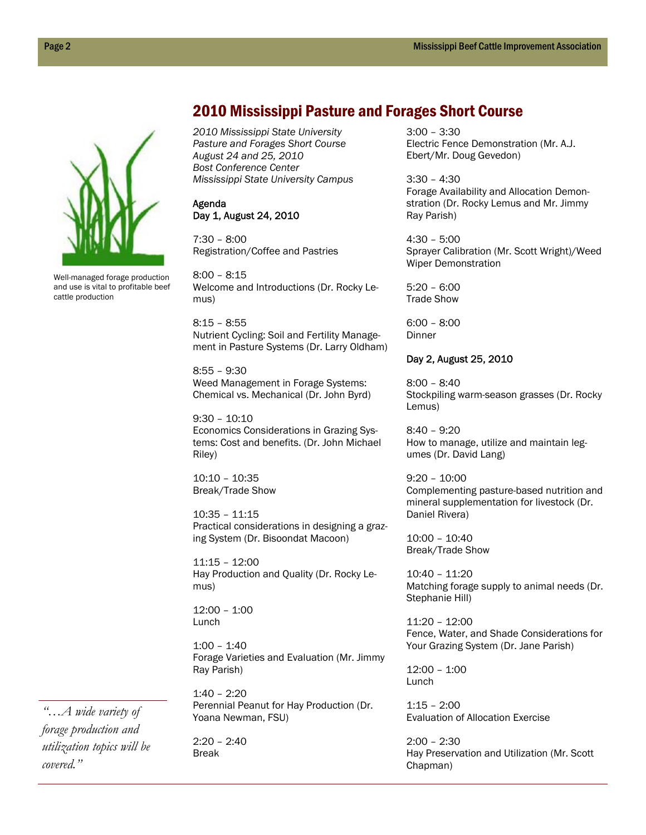

Well-managed forage production and use is vital to profitable beef cattle production

## 2010 Mississippi Pasture and Forages Short Course

*2010 Mississippi State University Pasture and Forages Short Course August 24 and 25, 2010 Bost Conference Center Mississippi State University Campus* 

## Agenda Day 1, August 24, 2010

7:30 – 8:00 Registration/Coffee and Pastries

8:00 – 8:15 Welcome and Introductions (Dr. Rocky Lemus)

8:15 – 8:55 Nutrient Cycling: Soil and Fertility Management in Pasture Systems (Dr. Larry Oldham)

8:55 – 9:30 Weed Management in Forage Systems: Chemical vs. Mechanical (Dr. John Byrd)

9:30 – 10:10 Economics Considerations in Grazing Systems: Cost and benefits. (Dr. John Michael Riley)

10:10 – 10:35 Break/Trade Show

10:35 – 11:15 Practical considerations in designing a grazing System (Dr. Bisoondat Macoon)

11:15 – 12:00 Hay Production and Quality (Dr. Rocky Lemus)

12:00 – 1:00 Lunch

1:00 – 1:40 Forage Varieties and Evaluation (Mr. Jimmy Ray Parish)

1:40 – 2:20 Perennial Peanut for Hay Production (Dr. Yoana Newman, FSU)

2:20 – 2:40 Break

3:00 – 3:30 Electric Fence Demonstration (Mr. A.J. Ebert/Mr. Doug Gevedon)

3:30 – 4:30 Forage Availability and Allocation Demonstration (Dr. Rocky Lemus and Mr. Jimmy Ray Parish)

4:30 – 5:00 Sprayer Calibration (Mr. Scott Wright)/Weed Wiper Demonstration

5:20 – 6:00 Trade Show

6:00 – 8:00 Dinner

## Day 2, August 25, 2010

8:00 – 8:40 Stockpiling warm-season grasses (Dr. Rocky Lemus)

8:40 – 9:20 How to manage, utilize and maintain legumes (Dr. David Lang)

9:20 – 10:00 Complementing pasture-based nutrition and mineral supplementation for livestock (Dr. Daniel Rivera)

10:00 – 10:40 Break/Trade Show

10:40 – 11:20 Matching forage supply to animal needs (Dr. Stephanie Hill)

11:20 – 12:00 Fence, Water, and Shade Considerations for Your Grazing System (Dr. Jane Parish)

12:00 – 1:00 Lunch

1:15 – 2:00 Evaluation of Allocation Exercise

2:00 – 2:30 Hay Preservation and Utilization (Mr. Scott Chapman)

*"…A wide variety of forage production and utilization topics will be covered."*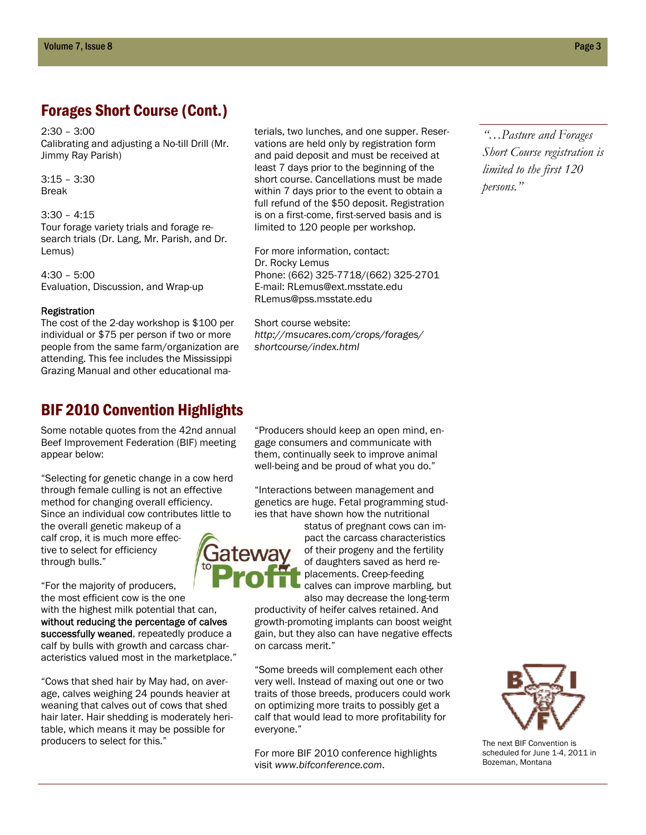# Forages Short Course (Cont.)

2:30 – 3:00 Calibrating and adjusting a No-till Drill (Mr. Jimmy Ray Parish)

3:15 – 3:30 Break

3:30 – 4:15 Tour forage variety trials and forage research trials (Dr. Lang, Mr. Parish, and Dr. Lemus)

4:30 – 5:00 Evaluation, Discussion, and Wrap-up

#### Registration

The cost of the 2-day workshop is \$100 per individual or \$75 per person if two or more people from the same farm/organization are attending. This fee includes the Mississippi Grazing Manual and other educational ma-

## BIF 2010 Convention Highlights

Some notable quotes from the 42nd annual Beef Improvement Federation (BIF) meeting appear below:

"Selecting for genetic change in a cow herd through female culling is not an effective method for changing overall efficiency. Since an individual cow contributes little to

the overall genetic makeup of a calf crop, it is much more effective to select for efficiency through bulls."

"For the majority of producers, the most efficient cow is the one with the highest milk potential that can, without reducing the percentage of calves successfully weaned, repeatedly produce a calf by bulls with growth and carcass characteristics valued most in the marketplace."

"Cows that shed hair by May had, on average, calves weighing 24 pounds heavier at weaning that calves out of cows that shed hair later. Hair shedding is moderately heritable, which means it may be possible for producers to select for this."

terials, two lunches, and one supper. Reservations are held only by registration form and paid deposit and must be received at least 7 days prior to the beginning of the short course. Cancellations must be made within 7 days prior to the event to obtain a full refund of the \$50 deposit. Registration is on a first-come, first-served basis and is limited to 120 people per workshop.

For more information, contact: Dr. Rocky Lemus Phone: (662) 325-7718/(662) 325-2701 E-mail: RLemus@ext.msstate.edu RLemus@pss.msstate.edu

Short course website: *http://msucares.com/crops/forages/ shortcourse/index.html* 

"Producers should keep an open mind, engage consumers and communicate with them, continually seek to improve animal well-being and be proud of what you do."

"Interactions between management and genetics are huge. Fetal programming studies that have shown how the nutritional

> status of pregnant cows can impact the carcass characteristics of their progeny and the fertility of daughters saved as herd replacements. Creep-feeding calves can improve marbling, but also may decrease the long-term

productivity of heifer calves retained. And growth-promoting implants can boost weight gain, but they also can have negative effects on carcass merit."

"Some breeds will complement each other very well. Instead of maxing out one or two traits of those breeds, producers could work on optimizing more traits to possibly get a calf that would lead to more profitability for everyone."

For more BIF 2010 conference highlights visit *www.bifconference.com*.

*"…Pasture and Forages Short Course registration is limited to the first 120 persons."* 



The next BIF Convention is scheduled for June 1-4, 2011 in Bozeman, Montana